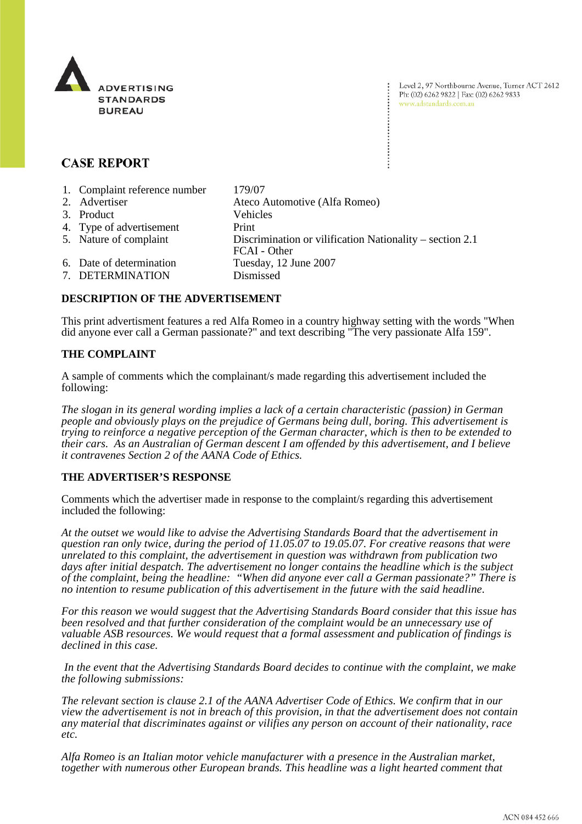

Level 2, 97 Northbourne Avenue, Turner ACT 2612 Ph: (02) 6262 9822 | Fax: (02) 6262 9833 www.adstandards.com.au

# **CASE REPORT**

| 1. Complaint reference number | 179/07                                                                   |
|-------------------------------|--------------------------------------------------------------------------|
| 2. Advertiser                 | Ateco Automotive (Alfa Romeo)                                            |
| 3. Product                    | <b>Vehicles</b>                                                          |
| 4. Type of advertisement      | Print                                                                    |
| 5. Nature of complaint        | Discrimination or vilification Nationality – section 2.1<br>FCAI - Other |
| 6. Date of determination      | Tuesday, 12 June 2007                                                    |
| 7. DETERMINATION              | Dismissed                                                                |

## **DESCRIPTION OF THE ADVERTISEMENT**

This print advertisment features a red Alfa Romeo in a country highway setting with the words "When did anyone ever call a German passionate?" and text describing "The very passionate Alfa 159".

### **THE COMPLAINT**

A sample of comments which the complainant/s made regarding this advertisement included the following:

*The slogan in its general wording implies a lack of a certain characteristic (passion) in German people and obviously plays on the prejudice of Germans being dull, boring. This advertisement is trying to reinforce a negative perception of the German character, which is then to be extended to their cars. As an Australian of German descent I am offended by this advertisement, and I believe it contravenes Section 2 of the AANA Code of Ethics.*

### **THE ADVERTISER'S RESPONSE**

Comments which the advertiser made in response to the complaint/s regarding this advertisement included the following:

*At the outset we would like to advise the Advertising Standards Board that the advertisement in question ran only twice, during the period of 11.05.07 to 19.05.07. For creative reasons that were unrelated to this complaint, the advertisement in question was withdrawn from publication two days after initial despatch. The advertisement no longer contains the headline which is the subject of the complaint, being the headline: "When did anyone ever call a German passionate?" There is no intention to resume publication of this advertisement in the future with the said headline.* 

*For this reason we would suggest that the Advertising Standards Board consider that this issue has been resolved and that further consideration of the complaint would be an unnecessary use of valuable ASB resources. We would request that a formal assessment and publication of findings is declined in this case.* 

 *In the event that the Advertising Standards Board decides to continue with the complaint, we make the following submissions:* 

*The relevant section is clause 2.1 of the AANA Advertiser Code of Ethics. We confirm that in our view the advertisement is not in breach of this provision, in that the advertisement does not contain any material that discriminates against or vilifies any person on account of their nationality, race etc.*

*Alfa Romeo is an Italian motor vehicle manufacturer with a presence in the Australian market, together with numerous other European brands. This headline was a light hearted comment that*